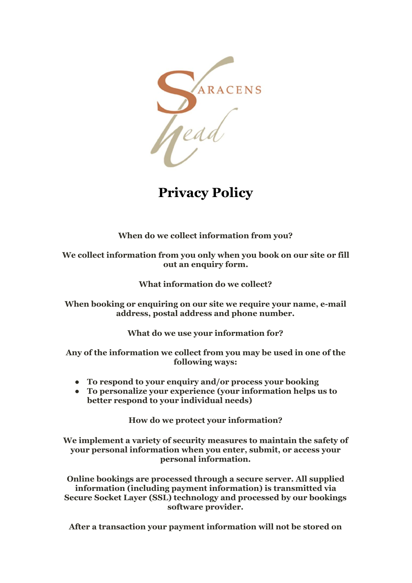

**Privacy Policy**

**When do we collect information from you?**

**We collect information from you only when you book on our site or fill out an enquiry form.**

**What information do we collect?**

**When booking or enquiring on our site we require your name, e-mail address, postal address and phone number.**

**What do we use your information for?**

**Any of the information we collect from you may be used in one of the following ways:**

- **● To respond to your enquiry and/or process your booking**
- **● To personalize your experience (your information helps us to better respond to your individual needs)**

**How do we protect your information?**

**We implement a variety of security measures to maintain the safety of your personal information when you enter, submit, or access your personal information.**

**Online bookings are processed through a secure server. All supplied information (including payment information) is transmitted via Secure Socket Layer (SSL) technology and processed by our bookings software provider.**

**After a transaction your payment information will not be stored on**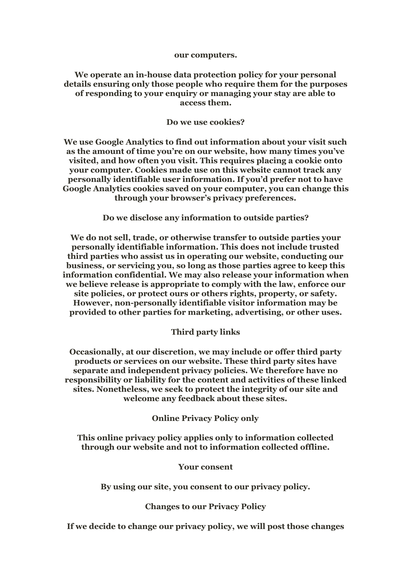#### **our computers.**

## **We operate an in-house data protection policy for your personal details ensuring only those people who require them for the purposes of responding to your enquiry or managing your stay are able to access them.**

### **Do we use cookies?**

**We use Google Analytics to find out information about your visit such as the amount of time you're on our website, how many times you've visited, and how often you visit. This requires placing a cookie onto your computer. Cookies made use on this website cannot track any personally identifiable user information. If you'd prefer not to have Google Analytics cookies saved on your computer, you can change this through your browser's privacy preferences.**

**Do we disclose any information to outside parties?**

**We do not sell, trade, or otherwise transfer to outside parties your personally identifiable information. This does not include trusted third parties who assist us in operating our website, conducting our business, or servicing you, so long as those parties agree to keep this information confidential. We may also release your information when we believe release is appropriate to comply with the law, enforce our site policies, or protect ours or others rights, property, or safety. However, non-personally identifiable visitor information may be provided to other parties for marketing, advertising, or other uses.**

### **Third party links**

**Occasionally, at our discretion, we may include or offer third party products or services on our website. These third party sites have separate and independent privacy policies. We therefore have no responsibility or liability for the content and activities of these linked sites. Nonetheless, we seek to protect the integrity of our site and welcome any feedback about these sites.**

**Online Privacy Policy only**

**This online privacy policy applies only to information collected through our website and not to information collected offline.**

### **Your consent**

**By using our site, you consent to our privacy policy.**

**Changes to our Privacy Policy**

**If we decide to change our privacy policy, we will post those changes**